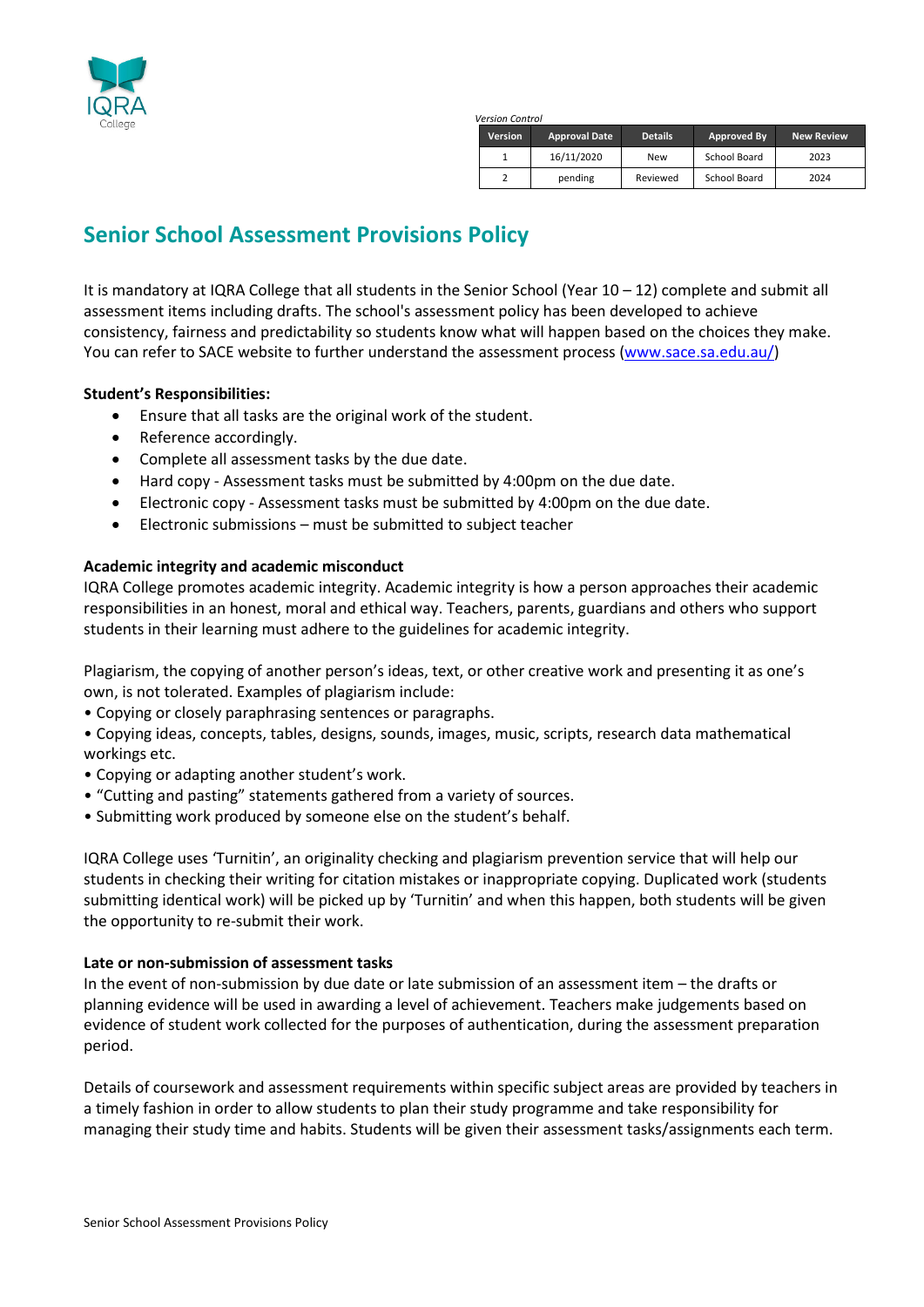

*Version Control*

| <b>Version</b> | <b>Approval Date</b> | <b>Details</b> | Approved By  | <b>New Review</b> |
|----------------|----------------------|----------------|--------------|-------------------|
|                | 16/11/2020           | New            | School Board | 2023              |
|                | pending              | Reviewed       | School Board | 2024              |

## **Senior School Assessment Provisions Policy**

It is mandatory at IQRA College that all students in the Senior School (Year 10 – 12) complete and submit all assessment items including drafts. The school's assessment policy has been developed to achieve consistency, fairness and predictability so students know what will happen based on the choices they make. You can refer to SACE website to further understand the assessment process [\(www.sace.sa.edu.au/\)](http://www.sace.sa.edu.au/)

### **Student's Responsibilities:**

- Ensure that all tasks are the original work of the student.
- Reference accordingly.
- Complete all assessment tasks by the due date.
- Hard copy Assessment tasks must be submitted by 4:00pm on the due date.
- Electronic copy Assessment tasks must be submitted by 4:00pm on the due date.
- Electronic submissions must be submitted to subject teacher

### **Academic integrity and academic misconduct**

IQRA College promotes academic integrity. Academic integrity is how a person approaches their academic responsibilities in an honest, moral and ethical way. Teachers, parents, guardians and others who support students in their learning must adhere to the guidelines for academic integrity.

Plagiarism, the copying of another person's ideas, text, or other creative work and presenting it as one's own, is not tolerated. Examples of plagiarism include:

• Copying or closely paraphrasing sentences or paragraphs.

• Copying ideas, concepts, tables, designs, sounds, images, music, scripts, research data mathematical workings etc.

- Copying or adapting another student's work.
- "Cutting and pasting" statements gathered from a variety of sources.
- Submitting work produced by someone else on the student's behalf.

IQRA College uses 'Turnitin', an originality checking and plagiarism prevention service that will help our students in checking their writing for citation mistakes or inappropriate copying. Duplicated work (students submitting identical work) will be picked up by 'Turnitin' and when this happen, both students will be given the opportunity to re-submit their work.

### **Late or non-submission of assessment tasks**

In the event of non-submission by due date or late submission of an assessment item – the drafts or planning evidence will be used in awarding a level of achievement. Teachers make judgements based on evidence of student work collected for the purposes of authentication, during the assessment preparation period.

Details of coursework and assessment requirements within specific subject areas are provided by teachers in a timely fashion in order to allow students to plan their study programme and take responsibility for managing their study time and habits. Students will be given their assessment tasks/assignments each term.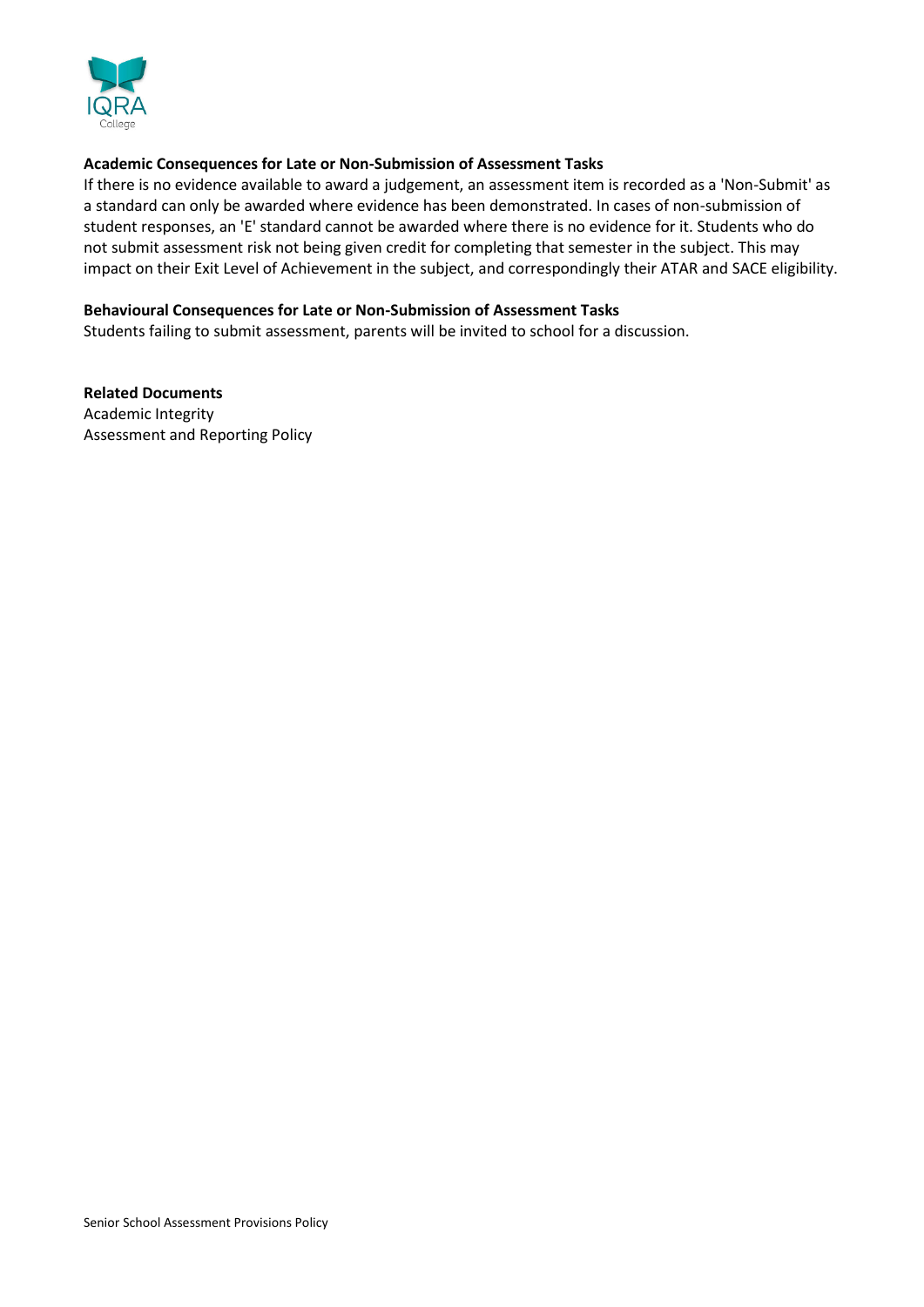

### **Academic Consequences for Late or Non-Submission of Assessment Tasks**

If there is no evidence available to award a judgement, an assessment item is recorded as a 'Non-Submit' as a standard can only be awarded where evidence has been demonstrated. In cases of non-submission of student responses, an 'E' standard cannot be awarded where there is no evidence for it. Students who do not submit assessment risk not being given credit for completing that semester in the subject. This may impact on their Exit Level of Achievement in the subject, and correspondingly their ATAR and SACE eligibility.

#### **Behavioural Consequences for Late or Non-Submission of Assessment Tasks**

Students failing to submit assessment, parents will be invited to school for a discussion.

**Related Documents** Academic Integrity Assessment and Reporting Policy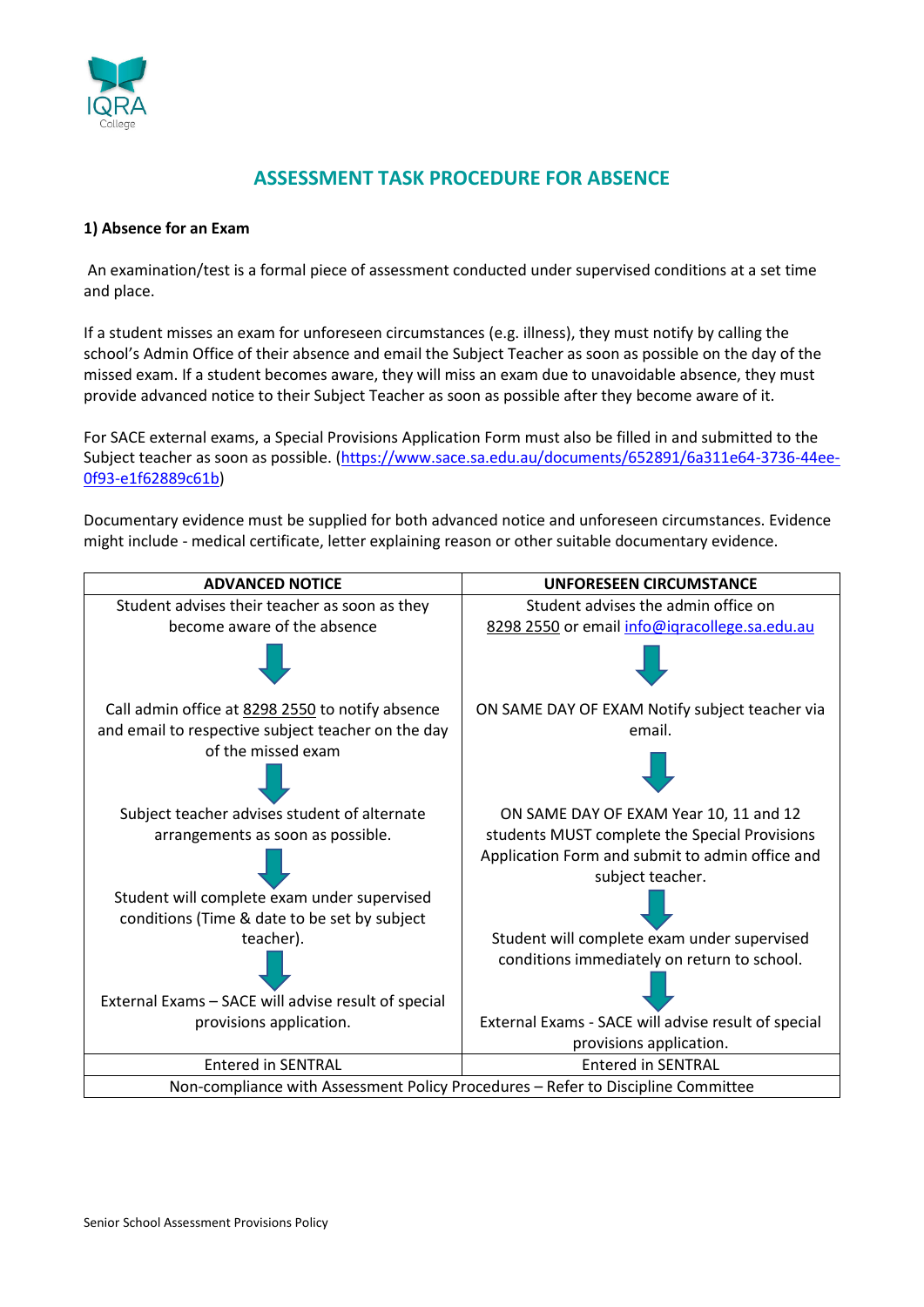

### **ASSESSMENT TASK PROCEDURE FOR ABSENCE**

### **1) Absence for an Exam**

An examination/test is a formal piece of assessment conducted under supervised conditions at a set time and place.

If a student misses an exam for unforeseen circumstances (e.g. illness), they must notify by calling the school's Admin Office of their absence and email the Subject Teacher as soon as possible on the day of the missed exam. If a student becomes aware, they will miss an exam due to unavoidable absence, they must provide advanced notice to their Subject Teacher as soon as possible after they become aware of it.

For SACE external exams, a Special Provisions Application Form must also be filled in and submitted to the Subject teacher as soon as possible. [\(https://www.sace.sa.edu.au/documents/652891/6a311e64-3736-44ee-](https://www.sace.sa.edu.au/documents/652891/6a311e64-3736-44ee-0f93-e1f62889c61b)[0f93-e1f62889c61b\)](https://www.sace.sa.edu.au/documents/652891/6a311e64-3736-44ee-0f93-e1f62889c61b)

Documentary evidence must be supplied for both advanced notice and unforeseen circumstances. Evidence might include - medical certificate, letter explaining reason or other suitable documentary evidence.

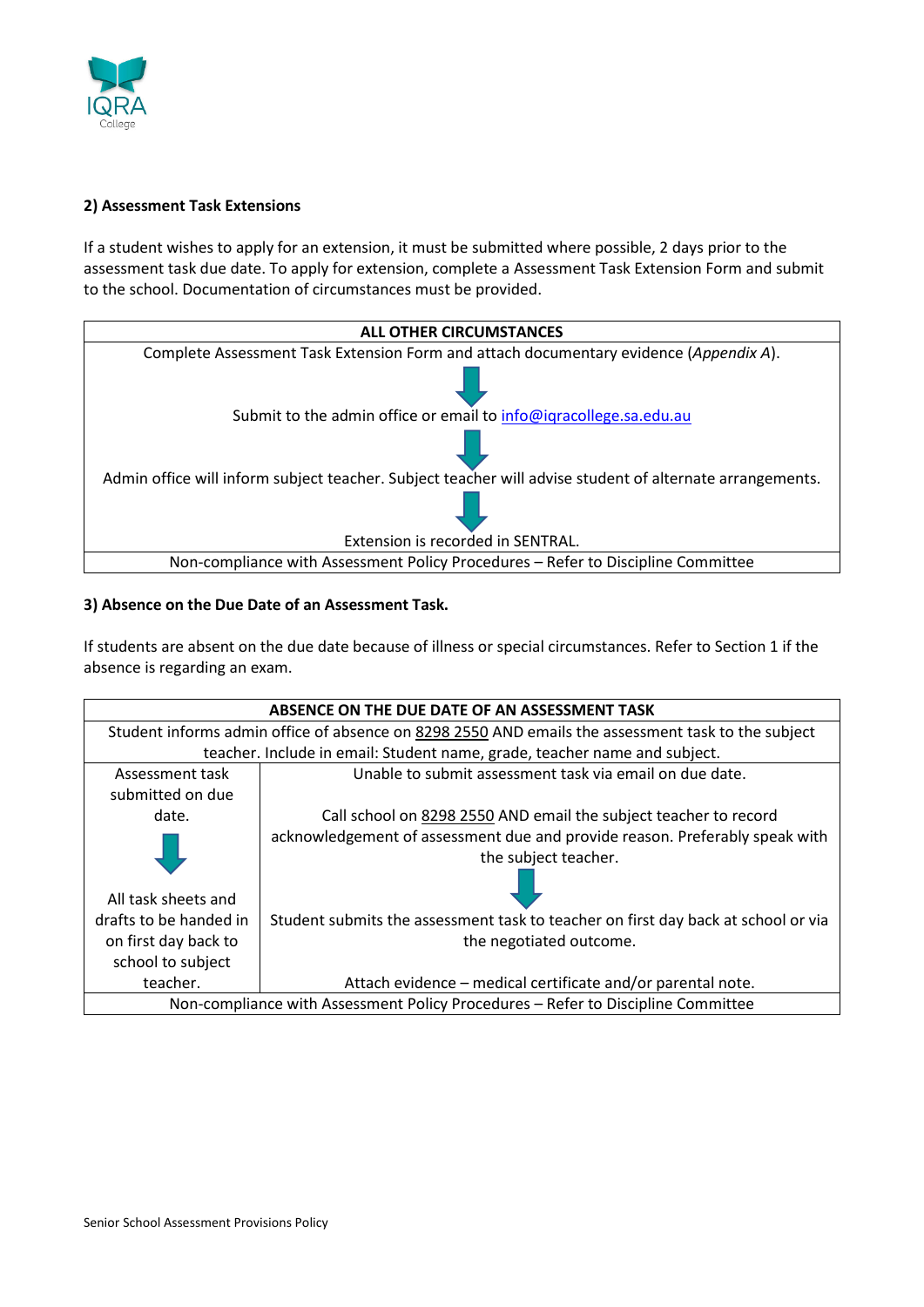

### **2) Assessment Task Extensions**

If a student wishes to apply for an extension, it must be submitted where possible, 2 days prior to the assessment task due date. To apply for extension, complete a Assessment Task Extension Form and submit to the school. Documentation of circumstances must be provided.



### **3) Absence on the Due Date of an Assessment Task.**

If students are absent on the due date because of illness or special circumstances. Refer to Section 1 if the absence is regarding an exam.

| ABSENCE ON THE DUE DATE OF AN ASSESSMENT TASK                                                      |                                                                                   |  |  |  |
|----------------------------------------------------------------------------------------------------|-----------------------------------------------------------------------------------|--|--|--|
| Student informs admin office of absence on 8298 2550 AND emails the assessment task to the subject |                                                                                   |  |  |  |
| teacher. Include in email: Student name, grade, teacher name and subject.                          |                                                                                   |  |  |  |
| Assessment task                                                                                    | Unable to submit assessment task via email on due date.                           |  |  |  |
| submitted on due                                                                                   |                                                                                   |  |  |  |
| date.                                                                                              | Call school on 8298 2550 AND email the subject teacher to record                  |  |  |  |
|                                                                                                    | acknowledgement of assessment due and provide reason. Preferably speak with       |  |  |  |
|                                                                                                    | the subject teacher.                                                              |  |  |  |
|                                                                                                    |                                                                                   |  |  |  |
| All task sheets and                                                                                |                                                                                   |  |  |  |
| drafts to be handed in                                                                             | Student submits the assessment task to teacher on first day back at school or via |  |  |  |
| on first day back to                                                                               | the negotiated outcome.                                                           |  |  |  |
| school to subject                                                                                  |                                                                                   |  |  |  |
| teacher.                                                                                           | Attach evidence – medical certificate and/or parental note.                       |  |  |  |
| Non-compliance with Assessment Policy Procedures - Refer to Discipline Committee                   |                                                                                   |  |  |  |